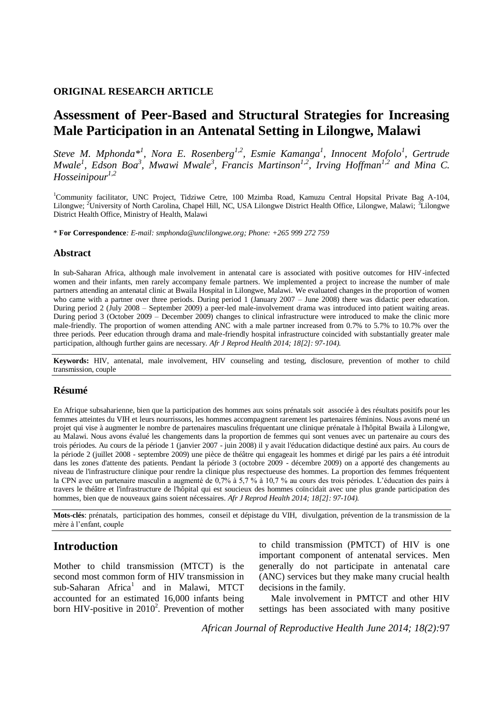### **ORIGINAL RESEARCH ARTICLE**

# **Assessment of Peer-Based and Structural Strategies for Increasing Male Participation in an Antenatal Setting in Lilongwe, Malawi**

*Steve M. Mphonda\*<sup>1</sup> , Nora E. Rosenberg1,2, Esmie Kamanga<sup>1</sup> , Innocent Mofolo<sup>1</sup> , Gertrude Mwale<sup>1</sup>*, *Edson Boa<sup>3</sup>*, *Mwawi Mwale<sup>3</sup>, Francis Martinson<sup>1,2</sup>, Irving Hoffman<sup>1,2</sup> and Mina C. Hosseinipour1,2*

<sup>1</sup>Community facilitator, UNC Project, Tidziwe Cetre, 100 Mzimba Road, Kamuzu Central Hopsital Private Bag A-104, Lilongwe; <sup>2</sup>University of North Carolina, Chapel Hill, NC, USA Lilongwe District Health Office, Lilongwe, Malawi; <sup>3</sup>Lilongwe District Health Office, Ministry of Health, Malawi

\* **For Correspondence***: E-mail: smphonda@unclilongwe.org; Phone: +265 999 272 759*

### **Abstract**

In sub-Saharan Africa, although male involvement in antenatal care is associated with positive outcomes for HIV-infected women and their infants, men rarely accompany female partners. We implemented a project to increase the number of male partners attending an antenatal clinic at Bwaila Hospital in Lilongwe, Malawi. We evaluated changes in the proportion of women who came with a partner over three periods. During period 1 (January 2007 – June 2008) there was didactic peer education. During period 2 (July 2008 – September 2009) a peer-led male-involvement drama was introduced into patient waiting areas. During period 3 (October 2009 – December 2009) changes to clinical infrastructure were introduced to make the clinic more male-friendly. The proportion of women attending ANC with a male partner increased from 0.7% to 5.7% to 10.7% over the three periods. Peer education through drama and male-friendly hospital infrastructure coincided with substantially greater male participation, although further gains are necessary. *Afr J Reprod Health 2014; 18[2]: 97-104).*

**Keywords:** HIV, antenatal, male involvement, HIV counseling and testing, disclosure, prevention of mother to child transmission, couple

### **Résumé**

En Afrique subsaharienne, bien que la participation des hommes aux soins prénatals soit associée à des résultats positifs pour les femmes atteintes du VIH et leurs nourrissons, les hommes accompagnent rarement les partenaires féminins. Nous avons mené un projet qui vise à augmenter le nombre de partenaires masculins fréquentant une clinique prénatale à l'hôpital Bwaila à Lilongwe, au Malawi. Nous avons évalué les changements dans la proportion de femmes qui sont venues avec un partenaire au cours des trois périodes. Au cours de la période 1 (janvier 2007 - juin 2008) il y avait l'éducation didactique destiné aux pairs. Au cours de la période 2 (juillet 2008 - septembre 2009) une pièce de théâtre qui engageait les hommes et dirigé par les pairs a été introduit dans les zones d'attente des patients. Pendant la période 3 (octobre 2009 - décembre 2009) on a apporté des changements au niveau de l'infrastructure clinique pour rendre la clinique plus respectueuse des hommes. La proportion des femmes fréquentent la CPN avec un partenaire masculin a augmenté de 0,7% à 5,7 % à 10,7 % au cours des trois périodes. L'éducation des pairs à travers le théâtre et l'infrastructure de l'hôpital qui est soucieux des hommes coïncidait avec une plus grande participation des hommes, bien que de nouveaux gains soient nécessaires. *Afr J Reprod Health 2014; 18[2]: 97-104).*

**Mots-clés**: prénatals, participation des hommes, conseil et dépistage du VIH, divulgation, prévention de la transmission de la mère à l'enfant, couple

## **Introduction**

Mother to child transmission (MTCT) is the second most common form of HIV transmission in sub-Saharan Africa<sup>1</sup> and in Malawi, MTCT accounted for an estimated 16,000 infants being born HIV-positive in  $2010^2$ . Prevention of mother to child transmission (PMTCT) of HIV is one important component of antenatal services. Men generally do not participate in antenatal care (ANC) services but they make many crucial health decisions in the family.

Male involvement in PMTCT and other HIV settings has been associated with many positive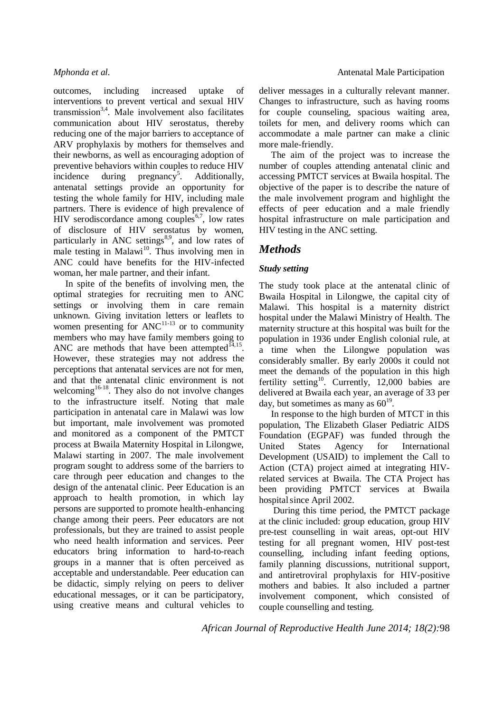outcomes, including increased uptake of interventions to prevent vertical and sexual HIV transmission<sup>3,4</sup>. Male involvement also facilitates communication about HIV serostatus, thereby reducing one of the major barriers to acceptance of ARV prophylaxis by mothers for themselves and their newborns, as well as encouraging adoption of preventive behaviors within couples to reduce HIV  $incidence$  during pregnancy<sup>5</sup>. . Additionally, antenatal settings provide an opportunity for testing the whole family for HIV, including male partners. There is evidence of high prevalence of  $HIV$  serodiscordance among couples<sup>6,7</sup>, low rates of disclosure of HIV serostatus by women, particularly in ANC settings<sup>8,9</sup>, and low rates of male testing in Malawi<sup>10</sup>. Thus involving men in ANC could have benefits for the HIV-infected woman, her male partner, and their infant.

In spite of the benefits of involving men, the optimal strategies for recruiting men to ANC settings or involving them in care remain unknown. Giving invitation letters or leaflets to women presenting for  $ANC<sup>11-13</sup>$  or to community members who may have family members going to ANC are methods that have been attempted  $A_{15}$ . However, these strategies may not address the perceptions that antenatal services are not for men, and that the antenatal clinic environment is not welcoming<sup>16-18</sup>. They also do not involve changes to the infrastructure itself. Noting that male participation in antenatal care in Malawi was low but important, male involvement was promoted and monitored as a component of the PMTCT process at Bwaila Maternity Hospital in Lilongwe, Malawi starting in 2007. The male involvement program sought to address some of the barriers to care through peer education and changes to the design of the antenatal clinic. Peer Education is an approach to health promotion, in which lay persons are supported to promote health-enhancing change among their peers. Peer educators are not professionals, but they are trained to assist people who need health information and services. Peer educators bring information to hard-to-reach groups in a manner that is often perceived as acceptable and understandable. Peer education can be didactic, simply relying on peers to deliver educational messages, or it can be participatory, using creative means and cultural vehicles to

### *Mphonda et al.* **Antenatal Male Participation**

deliver messages in a culturally relevant manner. Changes to infrastructure, such as having rooms for couple counseling, spacious waiting area, toilets for men, and delivery rooms which can accommodate a male partner can make a clinic more male-friendly.

The aim of the project was to increase the number of couples attending antenatal clinic and accessing PMTCT services at Bwaila hospital. The objective of the paper is to describe the nature of the male involvement program and highlight the effects of peer education and a male friendly hospital infrastructure on male participation and HIV testing in the ANC setting.

# *Methods*

## *Study setting*

The study took place at the antenatal clinic of Bwaila Hospital in Lilongwe, the capital city of Malawi. This hospital is a maternity district hospital under the Malawi Ministry of Health. The maternity structure at this hospital was built for the population in 1936 under English colonial rule, at a time when the Lilongwe population was considerably smaller. By early 2000s it could not meet the demands of the population in this high fertility setting<sup>10</sup>. Currently, 12,000 babies are delivered at Bwaila each year, an average of 33 per day, but sometimes as many as  $60^{19}$ .

In response to the high burden of MTCT in this population, The Elizabeth Glaser Pediatric AIDS Foundation (EGPAF) was funded through the United States Agency for International Development (USAID) to implement the Call to Action (CTA) project aimed at integrating HIVrelated services at Bwaila. The CTA Project has been providing PMTCT services at Bwaila hospital since April 2002.

During this time period, the PMTCT package at the clinic included: group education, group HIV pre-test counselling in wait areas, opt-out HIV testing for all pregnant women, HIV post-test counselling, including infant feeding options, family planning discussions, nutritional support, and antiretroviral prophylaxis for HIV-positive mothers and babies. It also included a partner involvement component, which consisted of couple counselling and testing.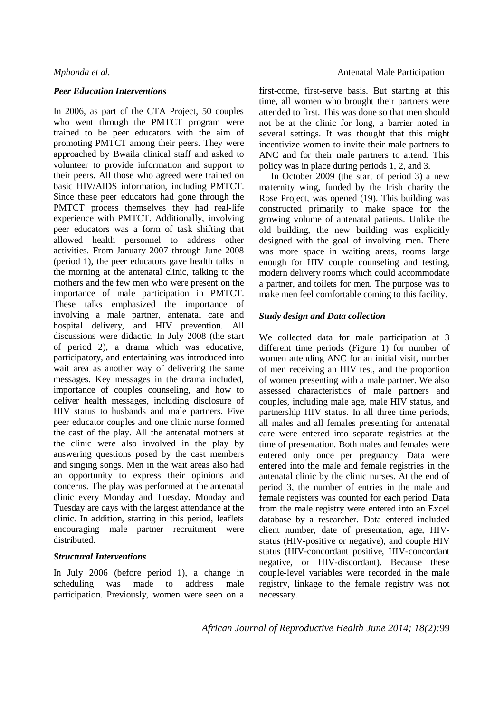### *Peer Education Interventions*

In 2006, as part of the CTA Project, 50 couples who went through the PMTCT program were trained to be peer educators with the aim of promoting PMTCT among their peers. They were approached by Bwaila clinical staff and asked to volunteer to provide information and support to their peers. All those who agreed were trained on basic HIV/AIDS information, including PMTCT. Since these peer educators had gone through the PMTCT process themselves they had real-life experience with PMTCT. Additionally, involving peer educators was a form of task shifting that allowed health personnel to address other activities. From January 2007 through June 2008 (period 1), the peer educators gave health talks in the morning at the antenatal clinic, talking to the mothers and the few men who were present on the importance of male participation in PMTCT. These talks emphasized the importance of involving a male partner, antenatal care and hospital delivery, and HIV prevention. All discussions were didactic. In July 2008 (the start of period 2), a drama which was educative, participatory, and entertaining was introduced into wait area as another way of delivering the same messages. Key messages in the drama included, importance of couples counseling, and how to deliver health messages, including disclosure of HIV status to husbands and male partners. Five peer educator couples and one clinic nurse formed the cast of the play. All the antenatal mothers at the clinic were also involved in the play by answering questions posed by the cast members and singing songs. Men in the wait areas also had an opportunity to express their opinions and concerns. The play was performed at the antenatal clinic every Monday and Tuesday*.* Monday and Tuesday are days with the largest attendance at the clinic. In addition, starting in this period, leaflets encouraging male partner recruitment were distributed.

## *Structural Interventions*

In July 2006 (before period 1), a change in scheduling was made to address male participation. Previously, women were seen on a

### *Mphonda et al.* **Antenatal Male Participation**

first-come, first-serve basis. But starting at this time, all women who brought their partners were attended to first. This was done so that men should not be at the clinic for long, a barrier noted in several settings. It was thought that this might incentivize women to invite their male partners to ANC and for their male partners to attend. This policy was in place during periods 1, 2, and 3.

In October 2009 (the start of period 3) a new maternity wing, funded by the Irish charity the Rose Project, was opened (19). This building was constructed primarily to make space for the growing volume of antenatal patients. Unlike the old building, the new building was explicitly designed with the goal of involving men. There was more space in waiting areas, rooms large enough for HIV couple counseling and testing, modern delivery rooms which could accommodate a partner, and toilets for men. The purpose was to make men feel comfortable coming to this facility.

## *Study design and Data collection*

We collected data for male participation at 3 different time periods (Figure 1) for number of women attending ANC for an initial visit, number of men receiving an HIV test, and the proportion of women presenting with a male partner. We also assessed characteristics of male partners and couples, including male age, male HIV status, and partnership HIV status. In all three time periods, all males and all females presenting for antenatal care were entered into separate registries at the time of presentation. Both males and females were entered only once per pregnancy. Data were entered into the male and female registries in the antenatal clinic by the clinic nurses. At the end of period 3, the number of entries in the male and female registers was counted for each period. Data from the male registry were entered into an Excel database by a researcher. Data entered included client number, date of presentation, age, HIVstatus (HIV-positive or negative), and couple HIV status (HIV-concordant positive, HIV-concordant negative, or HIV-discordant). Because these couple-level variables were recorded in the male registry, linkage to the female registry was not necessary.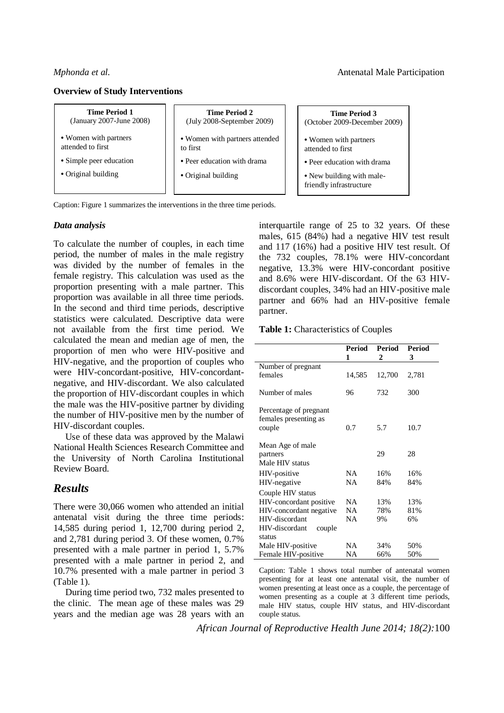| <b>Time Period 1</b>                           | <b>Time Period 2</b>                               | <b>Time Period 3</b>                                                                |
|------------------------------------------------|----------------------------------------------------|-------------------------------------------------------------------------------------|
| (January 2007-June 2008)                       | $(July 2008-September 2009)$                       | (October 2009-December 2009)                                                        |
| • Women with partners                          | • Women with partners attended                     | • Women with partners                                                               |
| attended to first                              | to first                                           | attended to first                                                                   |
| • Simple peer education<br>• Original building | • Peer education with drama<br>• Original building | • Peer education with drama<br>• New building with male-<br>friendly infrastructure |

Caption: Figure 1 summarizes the interventions in the three time periods.

### *Data analysis*

To calculate the number of couples, in each time period, the number of males in the male registry was divided by the number of females in the female registry. This calculation was used as the proportion presenting with a male partner. This proportion was available in all three time periods. In the second and third time periods, descriptive statistics were calculated. Descriptive data were not available from the first time period. We calculated the mean and median age of men, the proportion of men who were HIV-positive and HIV-negative, and the proportion of couples who were HIV-concordant-positive, HIV-concordantnegative, and HIV-discordant. We also calculated the proportion of HIV-discordant couples in which the male was the HIV-positive partner by dividing the number of HIV-positive men by the number of HIV-discordant couples.

Use of these data was approved by the Malawi National Health Sciences Research Committee and the University of North Carolina Institutional Review Board.

## *Results*

There were 30,066 women who attended an initial antenatal visit during the three time periods: 14,585 during period 1, 12,700 during period 2, and 2,781 during period 3. Of these women, 0.7% presented with a male partner in period 1, 5.7% presented with a male partner in period 2, and 10.7% presented with a male partner in period 3 (Table 1).

During time period two, 732 males presented to the clinic. The mean age of these males was 29 years and the median age was 28 years with an interquartile range of 25 to 32 years. Of these males, 615 (84%) had a negative HIV test result and 117 (16%) had a positive HIV test result. Of the 732 couples, 78.1% were HIV-concordant negative, 13.3% were HIV-concordant positive and 8.6% were HIV-discordant. Of the 63 HIVdiscordant couples, 34% had an HIV-positive male partner and 66% had an HIV-positive female partner.

**Table 1:** Characteristics of Couples

|                              | <b>Period</b> | Period     | Period     |
|------------------------------|---------------|------------|------------|
|                              | 1             | 2          | 3          |
| Number of pregnant           |               |            |            |
| females                      | 14,585        | 12,700     | 2,781      |
| Number of males              | 96            | 732        | 300        |
| Percentage of pregnant       |               |            |            |
| females presenting as        |               |            |            |
| couple                       | 0.7           | 5.7        | 10.7       |
|                              |               |            |            |
| Mean Age of male             |               | 29         | 28         |
| partners<br>Male HIV status  |               |            |            |
|                              |               |            |            |
| HIV-positive<br>HIV-negative | NA<br>NA      | 16%<br>84% | 16%<br>84% |
|                              |               |            |            |
| Couple HIV status            |               |            |            |
| HIV-concordant positive      | NA            | 13%        | 13%        |
| HIV-concordant negative      | NA            | 78%        | 81%        |
| HIV-discordant               | NA            | 9%         | 6%         |
| HIV-discordant<br>couple     |               |            |            |
| status                       |               |            |            |
| Male HIV-positive            | NA            | 34%        | 50%        |
| Female HIV-positive          | NA            | 66%        | 50%        |

Caption: Table 1 shows total number of antenatal women presenting for at least one antenatal visit, the number of women presenting at least once as a couple, the percentage of women presenting as a couple at 3 different time periods, male HIV status, couple HIV status, and HIV-discordant couple status.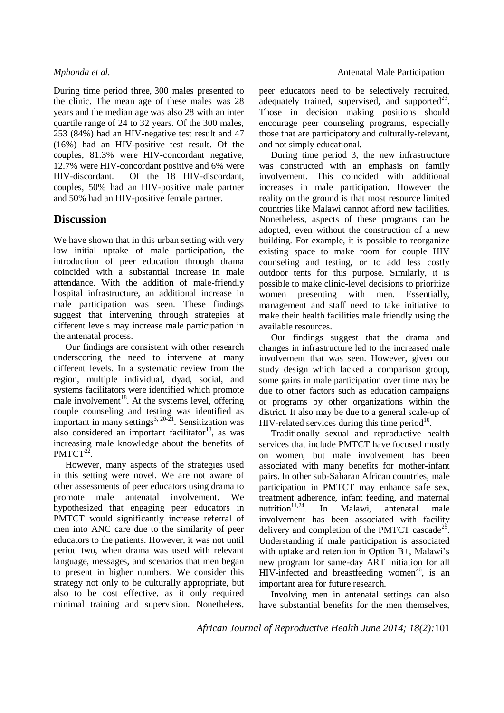During time period three, 300 males presented to the clinic. The mean age of these males was 28 years and the median age was also 28 with an inter quartile range of 24 to 32 years. Of the 300 males, 253 (84%) had an HIV-negative test result and 47 (16%) had an HIV-positive test result. Of the couples, 81.3% were HIV-concordant negative, 12.7% were HIV-concordant positive and 6% were HIV-discordant. Of the 18 HIV-discordant, couples, 50% had an HIV-positive male partner and 50% had an HIV-positive female partner.

# **Discussion**

We have shown that in this urban setting with very low initial uptake of male participation, the introduction of peer education through drama coincided with a substantial increase in male attendance. With the addition of male-friendly hospital infrastructure, an additional increase in male participation was seen. These findings suggest that intervening through strategies at different levels may increase male participation in the antenatal process.

Our findings are consistent with other research underscoring the need to intervene at many different levels. In a systematic review from the region, multiple individual, dyad, social, and systems facilitators were identified which promote male involvement<sup>18</sup>. At the systems level, offering couple counseling and testing was identified as important in many settings<sup>3, 20-21</sup>. Sensitization was also considered an important facilitator<sup>13</sup>, as was increasing male knowledge about the benefits of PMTCT<sup>22</sup>.

However, many aspects of the strategies used in this setting were novel. We are not aware of other assessments of peer educators using drama to promote male antenatal involvement. We hypothesized that engaging peer educators in PMTCT would significantly increase referral of men into ANC care due to the similarity of peer educators to the patients. However, it was not until period two, when drama was used with relevant language, messages, and scenarios that men began to present in higher numbers. We consider this strategy not only to be culturally appropriate, but also to be cost effective, as it only required minimal training and supervision. Nonetheless, peer educators need to be selectively recruited,  $\alpha$  adequately trained, supervised, and supported<sup>23</sup>. Those in decision making positions should encourage peer counseling programs, especially those that are participatory and culturally-relevant, and not simply educational.

During time period 3, the new infrastructure was constructed with an emphasis on family involvement. This coincided with additional increases in male participation. However the reality on the ground is that most resource limited countries like Malawi cannot afford new facilities. Nonetheless, aspects of these programs can be adopted, even without the construction of a new building. For example, it is possible to reorganize existing space to make room for couple HIV counseling and testing, or to add less costly outdoor tents for this purpose. Similarly, it is possible to make clinic-level decisions to prioritize women presenting with men. Essentially, management and staff need to take initiative to make their health facilities male friendly using the available resources.

Our findings suggest that the drama and changes in infrastructure led to the increased male involvement that was seen. However, given our study design which lacked a comparison group, some gains in male participation over time may be due to other factors such as education campaigns or programs by other organizations within the district. It also may be due to a general scale-up of HIV-related services during this time period $^{10}$ .

Traditionally sexual and reproductive health services that include PMTCT have focused mostly on women, but male involvement has been associated with many benefits for mother-infant pairs. In other sub-Saharan African countries, male participation in PMTCT may enhance safe sex, treatment adherence, infant feeding, and maternal nutrition<sup>11,24</sup>. In Malawi, antenatal male involvement has been associated with facility delivery and completion of the PMTCT cascade<sup>25</sup>. Understanding if male participation is associated with uptake and retention in Option B+, Malawi's new program for same-day ART initiation for all HIV-infected and breastfeeding women<sup>26</sup>, is an important area for future research.

Involving men in antenatal settings can also have substantial benefits for the men themselves,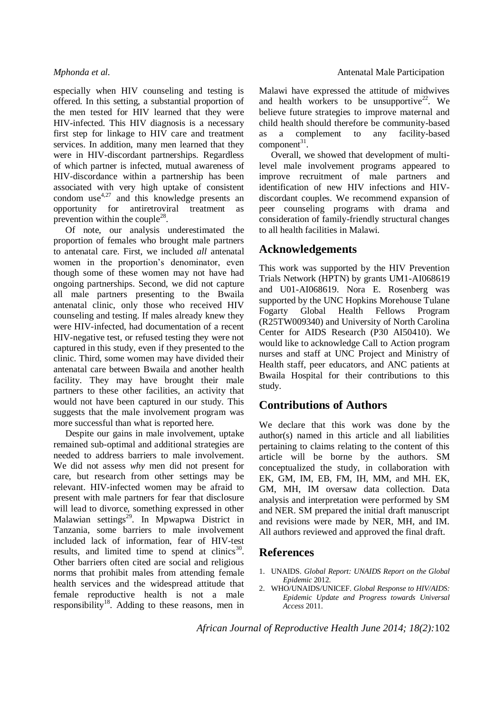especially when HIV counseling and testing is offered. In this setting, a substantial proportion of the men tested for HIV learned that they were HIV-infected. This HIV diagnosis is a necessary first step for linkage to HIV care and treatment services. In addition, many men learned that they were in HIV-discordant partnerships. Regardless of which partner is infected, mutual awareness of HIV-discordance within a partnership has been associated with very high uptake of consistent condom use<sup>4,27</sup> and this knowledge presents an opportunity for antiretroviral treatment as prevention within the couple<sup>28</sup>.

Of note, our analysis underestimated the proportion of females who brought male partners to antenatal care. First, we included *all* antenatal women in the proportion's denominator, even though some of these women may not have had ongoing partnerships. Second, we did not capture all male partners presenting to the Bwaila antenatal clinic, only those who received HIV counseling and testing. If males already knew they were HIV-infected, had documentation of a recent HIV-negative test, or refused testing they were not captured in this study, even if they presented to the clinic. Third, some women may have divided their antenatal care between Bwaila and another health facility. They may have brought their male partners to these other facilities, an activity that would not have been captured in our study. This suggests that the male involvement program was more successful than what is reported here.

Despite our gains in male involvement, uptake remained sub-optimal and additional strategies are needed to address barriers to male involvement. We did not assess *why* men did not present for care, but research from other settings may be relevant. HIV-infected women may be afraid to present with male partners for fear that disclosure will lead to divorce, something expressed in other Malawian settings<sup>29</sup>. In Mpwapwa District in Tanzania, some barriers to male involvement included lack of information, fear of HIV-test results, and limited time to spend at clinics<sup>30</sup>. Other barriers often cited are social and religious norms that prohibit males from attending female health services and the widespread attitude that female reproductive health is not a male responsibility<sup>18</sup>. Adding to these reasons, men in

Malawi have expressed the attitude of midwives and health workers to be unsupportive<sup>22</sup>. We believe future strategies to improve maternal and child health should therefore be community-based as a complement to any facility-based  $component<sup>31</sup>$ .

Overall, we showed that development of multilevel male involvement programs appeared to improve recruitment of male partners and identification of new HIV infections and HIVdiscordant couples. We recommend expansion of peer counseling programs with drama and consideration of family-friendly structural changes to all health facilities in Malawi.

# **Acknowledgements**

This work was supported by the HIV Prevention Trials Network (HPTN) by grants UM1-AI068619 and U01-AI068619. Nora E. Rosenberg was supported by the UNC Hopkins Morehouse Tulane Fogarty Global Health Fellows Program (R25TW009340) and University of North Carolina Center for AIDS Research (P30 AI50410). We would like to acknowledge Call to Action program nurses and staff at UNC Project and Ministry of Health staff, peer educators, and ANC patients at Bwaila Hospital for their contributions to this study.

# **Contributions of Authors**

We declare that this work was done by the author(s) named in this article and all liabilities pertaining to claims relating to the content of this article will be borne by the authors. SM conceptualized the study, in collaboration with EK, GM, IM, EB, FM, IH, MM, and MH. EK, GM, MH, IM oversaw data collection. Data analysis and interpretation were performed by SM and NER. SM prepared the initial draft manuscript and revisions were made by NER, MH, and IM. All authors reviewed and approved the final draft.

# **References**

- 1. UNAIDS. *Global Report: UNAIDS Report on the Global Epidemic* 2012.
- 2. WHO/UNAIDS/UNICEF. *Global Response to HIV/AIDS: Epidemic Update and Progress towards Universal Access* 2011.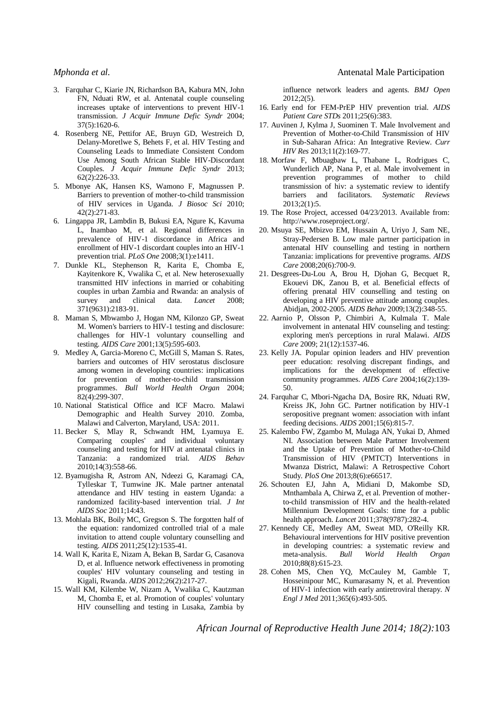- 3. Farquhar C, Kiarie JN, Richardson BA, Kabura MN, John FN, Nduati RW, et al. Antenatal couple counseling increases uptake of interventions to prevent HIV-1 transmission. *J Acquir Immune Defic Syndr* 2004; 37(5):1620-6.
- 4. Rosenberg NE, Pettifor AE, Bruyn GD, Westreich D, Delany-Moretlwe S, Behets F, et al. HIV Testing and Counseling Leads to Immediate Consistent Condom Use Among South African Stable HIV-Discordant Couples. *J Acquir Immune Defic Syndr* 2013; 62(2):226-33.
- 5. Mbonye AK, Hansen KS, Wamono F, Magnussen P. Barriers to prevention of mother-to-child transmission of HIV services in Uganda. *J Biosoc Sci* 2010; 42(2):271-83.
- 6. Lingappa JR, Lambdin B, Bukusi EA, Ngure K, Kavuma L, Inambao M, et al. Regional differences in prevalence of HIV-1 discordance in Africa and enrollment of HIV-1 discordant couples into an HIV-1 prevention trial. *PLoS One* 2008;3(1):e1411.
- 7. Dunkle KL, Stephenson R, Karita E, Chomba E, Kayitenkore K, Vwalika C, et al. New heterosexually transmitted HIV infections in married or cohabiting couples in urban Zambia and Rwanda: an analysis of survey and clinical data. *Lancet* 2008; 371(9631):2183-91.
- 8. Maman S, Mbwambo J, Hogan NM, Kilonzo GP, Sweat M. Women's barriers to HIV-1 testing and disclosure: challenges for HIV-1 voluntary counselling and testing. *AIDS Care* 2001;13(5):595-603.
- 9. Medley A, Garcia-Moreno C, McGill S, Maman S. Rates, barriers and outcomes of HIV serostatus disclosure among women in developing countries: implications for prevention of mother-to-child transmission programmes. *Bull World Health Organ* 2004; 82(4):299-307.
- 10. National Statistical Office and ICF Macro. Malawi Demographic and Health Survey 2010. Zomba, Malawi and Calverton, Maryland, USA: 2011.
- 11. Becker S, Mlay R, Schwandt HM, Lyamuya E. Comparing couples' and individual voluntary counseling and testing for HIV at antenatal clinics in Tanzania: a randomized trial. *AIDS Behav* 2010;14(3):558-66.
- 12. Byamugisha R, Astrom AN, Ndeezi G, Karamagi CA, Tylleskar T, Tumwine JK. Male partner antenatal attendance and HIV testing in eastern Uganda: a randomized facility-based intervention trial. *J Int AIDS Soc* 2011;14:43.
- 13. Mohlala BK, Boily MC, Gregson S. The forgotten half of the equation: randomized controlled trial of a male invitation to attend couple voluntary counselling and testing. *AIDS* 2011;25(12):1535-41.
- 14. Wall K, Karita E, Nizam A, Bekan B, Sardar G, Casanova D, et al. Influence network effectiveness in promoting couples' HIV voluntary counseling and testing in Kigali, Rwanda. *AIDS* 2012;26(2):217-27.
- 15. Wall KM, Kilembe W, Nizam A, Vwalika C, Kautzman M, Chomba E, et al. Promotion of couples' voluntary HIV counselling and testing in Lusaka, Zambia by

influence network leaders and agents. *BMJ Open* 2012;2(5).

- 16. Early end for FEM-PrEP HIV prevention trial. *AIDS Patient Care STDs* 2011;25(6):383.
- 17. Auvinen J, Kylma J, Suominen T. Male Involvement and Prevention of Mother-to-Child Transmission of HIV in Sub-Saharan Africa: An Integrative Review. *Curr HIV Res* 2013;11(2):169-77.
- 18. Morfaw F, Mbuagbaw L, Thabane L, Rodrigues C, Wunderlich AP, Nana P, et al. Male involvement in prevention programmes of mother to child transmission of hiv: a systematic review to identify barriers and facilitators. *Systematic Reviews* 2013;2(1):5.
- 19. The Rose Project, accessed 04/23/2013. Available from: http://www.roseproject.org/.
- 20. Msuya SE, Mbizvo EM, Hussain A, Uriyo J, Sam NE, Stray-Pedersen B. Low male partner participation in antenatal HIV counselling and testing in northern Tanzania: implications for preventive programs. *AIDS Care* 2008;20(6):700-9.
- 21. Desgrees-Du-Lou A, Brou H, Djohan G, Becquet R, Ekouevi DK, Zanou B, et al. Beneficial effects of offering prenatal HIV counselling and testing on developing a HIV preventive attitude among couples. Abidjan, 2002-2005. *AIDS Behav* 2009;13(2):348-55.
- 22. Aarnio P, Olsson P, Chimbiri A, Kulmala T. Male involvement in antenatal HIV counseling and testing: exploring men's perceptions in rural Malawi. *AIDS Care* 2009; 21(12):1537-46.
- 23. Kelly JA. Popular opinion leaders and HIV prevention peer education: resolving discrepant findings, and implications for the development of effective community programmes. *AIDS Care* 2004;16(2):139- 50.
- 24. Farquhar C, Mbori-Ngacha DA, Bosire RK, Nduati RW, Kreiss JK, John GC. Partner notification by HIV-1 seropositive pregnant women: association with infant feeding decisions. *AIDS* 2001;15(6):815-7.
- 25. Kalembo FW, Zgambo M, Mulaga AN, Yukai D, Ahmed NI. Association between Male Partner Involvement and the Uptake of Prevention of Mother-to-Child Transmission of HIV (PMTCT) Interventions in Mwanza District, Malawi: A Retrospective Cohort Study. *PloS One* 2013;8(6):e66517.
- 26. Schouten EJ, Jahn A, Midiani D, Makombe SD, Mnthambala A, Chirwa Z, et al. Prevention of motherto-child transmission of HIV and the health-related Millennium Development Goals: time for a public health approach. *Lancet* 2011;378(9787):282-4.
- 27. Kennedy CE, Medley AM, Sweat MD, O'Reilly KR. Behavioural interventions for HIV positive prevention in developing countries: a systematic review and<br>meta-analysis. Bull World Health Organ meta-analysis. *Bull World Health Organ* 2010;88(8):615-23.
- 28. Cohen MS, Chen YQ, McCauley M, Gamble T, Hosseinipour MC, Kumarasamy N, et al. Prevention of HIV-1 infection with early antiretroviral therapy. *N Engl J Med* 2011;365(6):493-505.